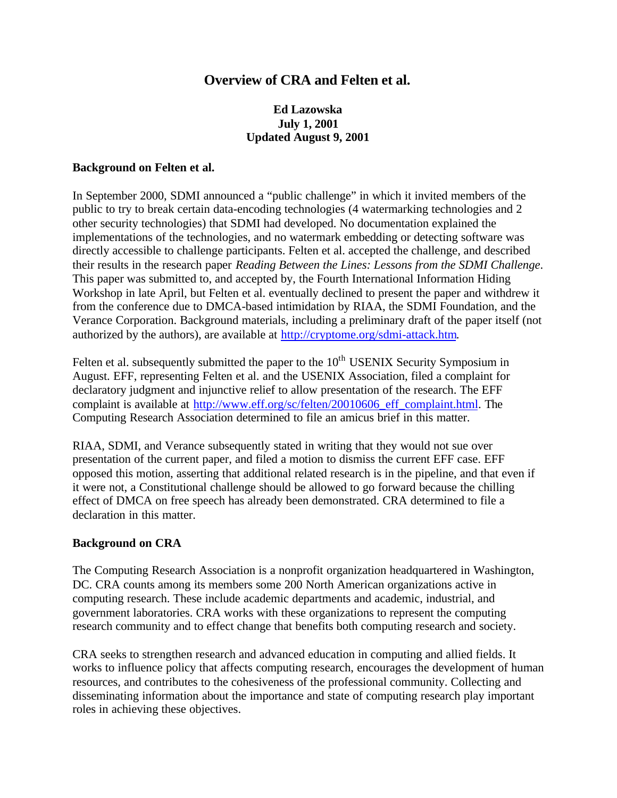# **Overview of CRA and Felten et al.**

## **Ed Lazowska July 1, 2001 Updated August 9, 2001**

#### **Background on Felten et al.**

In September 2000, SDMI announced a "public challenge" in which it invited members of the public to try to break certain data-encoding technologies (4 watermarking technologies and 2 other security technologies) that SDMI had developed. No documentation explained the implementations of the technologies, and no watermark embedding or detecting software was directly accessible to challenge participants. Felten et al. accepted the challenge, and described their results in the research paper *Reading Between the Lines: Lessons from the SDMI Challenge*. This paper was submitted to, and accepted by, the Fourth International Information Hiding Workshop in late April, but Felten et al. eventually declined to present the paper and withdrew it from the conference due to DMCA-based intimidation by RIAA, the SDMI Foundation, and the Verance Corporation. Background materials, including a preliminary draft of the paper itself (not authorized by the authors), are available at http://cryptome.org/sdmi-attack.htm.

Felten et al. subsequently submitted the paper to the  $10<sup>th</sup>$  USENIX Security Symposium in August. EFF, representing Felten et al. and the USENIX Association, filed a complaint for declaratory judgment and injunctive relief to allow presentation of the research. The EFF complaint is available at http://www.eff.org/sc/felten/20010606 eff complaint.html. The Computing Research Association determined to file an amicus brief in this matter.

RIAA, SDMI, and Verance subsequently stated in writing that they would not sue over presentation of the current paper, and filed a motion to dismiss the current EFF case. EFF opposed this motion, asserting that additional related research is in the pipeline, and that even if it were not, a Constitutional challenge should be allowed to go forward because the chilling effect of DMCA on free speech has already been demonstrated. CRA determined to file a declaration in this matter.

#### **Background on CRA**

The Computing Research Association is a nonprofit organization headquartered in Washington, DC. CRA counts among its members some 200 North American organizations active in computing research. These include academic departments and academic, industrial, and government laboratories. CRA works with these organizations to represent the computing research community and to effect change that benefits both computing research and society.

CRA seeks to strengthen research and advanced education in computing and allied fields. It works to influence policy that affects computing research, encourages the development of human resources, and contributes to the cohesiveness of the professional community. Collecting and disseminating information about the importance and state of computing research play important roles in achieving these objectives.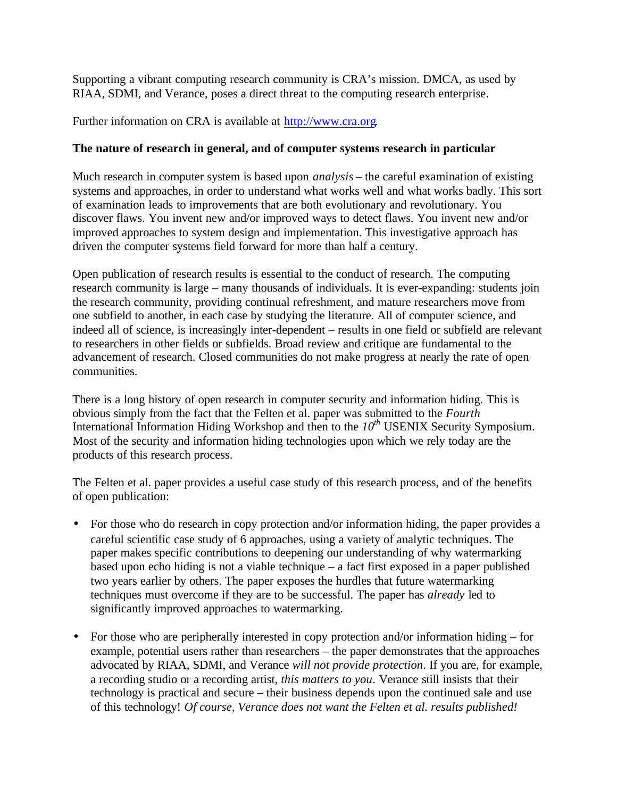Supporting a vibrant computing research community is CRA's mission. DMCA, as used by RIAA, SDMI, and Verance, poses a direct threat to the computing research enterprise.

Further information on CRA is available at http://www.cra.org.

### **The nature of research in general, and of computer systems research in particular**

Much research in computer system is based upon *analysis* – the careful examination of existing systems and approaches, in order to understand what works well and what works badly. This sort of examination leads to improvements that are both evolutionary and revolutionary. You discover flaws. You invent new and/or improved ways to detect flaws. You invent new and/or improved approaches to system design and implementation. This investigative approach has driven the computer systems field forward for more than half a century.

Open publication of research results is essential to the conduct of research. The computing research community is large – many thousands of individuals. It is ever-expanding: students join the research community, providing continual refreshment, and mature researchers move from one subfield to another, in each case by studying the literature. All of computer science, and indeed all of science, is increasingly inter-dependent – results in one field or subfield are relevant to researchers in other fields or subfields. Broad review and critique are fundamental to the advancement of research. Closed communities do not make progress at nearly the rate of open communities.

There is a long history of open research in computer security and information hiding. This is obvious simply from the fact that the Felten et al. paper was submitted to the *Fourth* International Information Hiding Workshop and then to the *10th* USENIX Security Symposium. Most of the security and information hiding technologies upon which we rely today are the products of this research process.

The Felten et al. paper provides a useful case study of this research process, and of the benefits of open publication:

- For those who do research in copy protection and/or information hiding, the paper provides a careful scientific case study of 6 approaches, using a variety of analytic techniques. The paper makes specific contributions to deepening our understanding of why watermarking based upon echo hiding is not a viable technique – a fact first exposed in a paper published two years earlier by others. The paper exposes the hurdles that future watermarking techniques must overcome if they are to be successful. The paper has *already* led to significantly improved approaches to watermarking.
- For those who are peripherally interested in copy protection and/or information hiding for example, potential users rather than researchers – the paper demonstrates that the approaches advocated by RIAA, SDMI, and Verance *will not provide protection*. If you are, for example, a recording studio or a recording artist, *this matters to you*. Verance still insists that their technology is practical and secure – their business depends upon the continued sale and use of this technology! *Of course, Verance does not want the Felten et al. results published!*